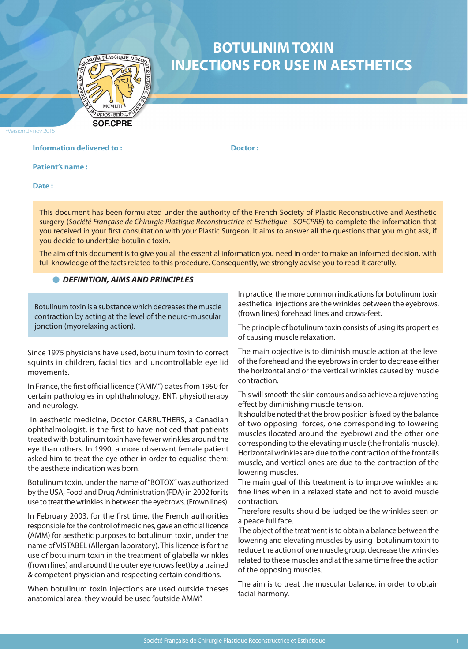

# **BOTULINIM TOXIN INJECTIONS FOR USE IN AESTHETICS**

«Version 2» nov 2015

# **Information delivered to : The Contract Dector : Respectively. All properties in the Doctor :**

**Patient's name :** 

**Date :** 

This document has been formulated under the authority of the French Society of Plastic Reconstructive and Aesthetic surgery (*Société Française de Chirurgie Plastique Reconstructrice et Esthétique - SOFCPRE*) to complete the information that you received in your first consultation with your Plastic Surgeon. It aims to answer all the questions that you might ask, if you decide to undertake botulinic toxin.

The aim of this document is to give you all the essential information you need in order to make an informed decision, with full knowledge of the facts related to this procedure. Consequently, we strongly advise you to read it carefully.

#### *DEFINITION, AIMS AND PRINCIPLES*

Botulinum toxin is a substance which decreases the muscle contraction by acting at the level of the neuro-muscular jonction (myorelaxing action).

Since 1975 physicians have used, botulinum toxin to correct squints in children, facial tics and uncontrollable eye lid movements.

In France, the first official licence ("AMM") dates from 1990 for certain pathologies in ophthalmology, ENT, physiotherapy and neurology.

 In aesthetic medicine, Doctor CARRUTHERS, a Canadian ophthalmologist, is the first to have noticed that patients treated with botulinum toxin have fewer wrinkles around the eye than others. In 1990, a more observant female patient asked him to treat the eye other in order to equalise them: the aesthete indication was born.

Botulinum toxin, under the name of "BOTOX" was authorized by the USA, Food and Drug Administration (FDA) in 2002 for its use to treat the wrinkles in between the eyebrows. (Frown lines).

In February 2003, for the first time, the French authorities responsible for the control of medicines, gave an official licence (AMM) for aesthetic purposes to botulinum toxin, under the name of VISTABEL (Allergan laboratory). This licence is for the use of botulinum toxin in the treatment of glabella wrinkles (frown lines) and around the outer eye (crows feet)by a trained & competent physician and respecting certain conditions.

When botulinum toxin injections are used outside theses anatomical area, they would be used "outside AMM".

In practice, the more common indications for botulinum toxin aesthetical injections are the wrinkles between the eyebrows, (frown lines) forehead lines and crows-feet.

The principle of botulinum toxin consists of using its properties of causing muscle relaxation.

The main objective is to diminish muscle action at the level of the forehead and the eyebrows in order to decrease either the horizontal and or the vertical wrinkles caused by muscle contraction.

This will smooth the skin contours and so achieve a rejuvenating effect by diminishing muscle tension.

It should be noted that the brow position is fixed by the balance of two opposing forces, one corresponding to lowering muscles (located around the eyebrow) and the other one corresponding to the elevating muscle (the frontalis muscle). Horizontal wrinkles are due to the contraction of the frontalis muscle, and vertical ones are due to the contraction of the lowering muscles.

The main goal of this treatment is to improve wrinkles and fine lines when in a relaxed state and not to avoid muscle contraction.

Therefore results should be judged be the wrinkles seen on a peace full face.

 The object of the treatment is to obtain a balance between the lowering and elevating muscles by using botulinum toxin to reduce the action of one muscle group, decrease the wrinkles related to these muscles and at the same time free the action of the opposing muscles.

The aim is to treat the muscular balance, in order to obtain facial harmony.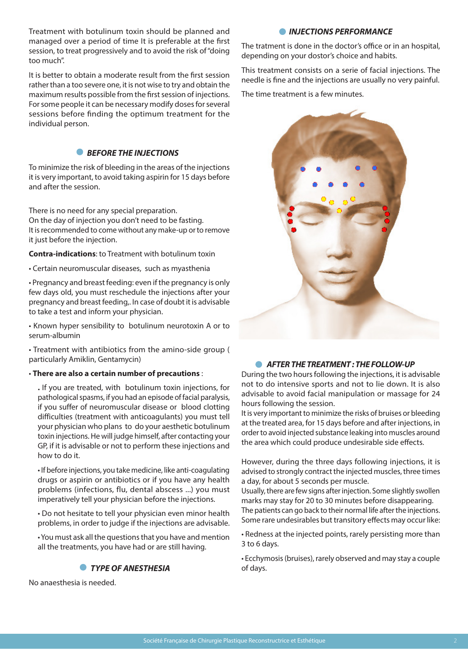Treatment with botulinum toxin should be planned and managed over a period of time It is preferable at the first session, to treat progressively and to avoid the risk of "doing too much".

It is better to obtain a moderate result from the first session rather than a too severe one, it is not wise to try and obtain the maximum results possible from the first session of injections. For some people it can be necessary modify doses for several sessions before finding the optimum treatment for the individual person.

# **• BEFORE THE INJECTIONS**

To minimize the risk of bleeding in the areas of the injections it is very important, to avoid taking aspirin for 15 days before and after the session.

There is no need for any special preparation. On the day of injection you don't need to be fasting. It is recommended to come without any make-up or to remove it just before the injection.

**Contra-indications**: to Treatment with botulinum toxin

• Certain neuromuscular diseases, such as myasthenia

• Pregnancy and breast feeding: even if the pregnancy is only few days old, you must reschedule the injections after your pregnancy and breast feeding,. In case of doubt it is advisable to take a test and inform your physician.

• Known hyper sensibility to botulinum neurotoxin A or to serum-albumin

• Treatment with antibiotics from the amino-side group ( particularly Amiklin, Gentamycin)

### • **There are also a certain number of precautions** :

**.** If you are treated, with botulinum toxin injections, for pathological spasms, if you had an episode of facial paralysis, if you suffer of neuromuscular disease or blood clotting difficulties (treatment with anticoagulants) you must tell your physician who plans to do your aesthetic botulinum toxin injections. He will judge himself, after contacting your GP, if it is advisable or not to perform these injections and how to do it.

• If before injections, you take medicine, like anti-coagulating drugs or aspirin or antibiotics or if you have any health problems (infections, flu, dental abscess ...) you must imperatively tell your physician before the injections.

• Do not hesitate to tell your physician even minor health problems, in order to judge if the injections are advisable.

• You must ask all the questions that you have and mention all the treatments, you have had or are still having.

# *TYPE OF ANESTHESIA*

No anaesthesia is needed.

# *INJECTIONS PERFORMANCE*

The tratment is done in the doctor's office or in an hospital, depending on your dostor's choice and habits.

This treatment consists on a serie of facial injections. The needle is fine and the injections are usually no very painful.

The time treatment is a few minutes.



# *AFTER THE TREATMENT : THE FOLLOW-UP*

During the two hours following the injections, it is advisable not to do intensive sports and not to lie down. It is also advisable to avoid facial manipulation or massage for 24 hours following the session.

It is very important to minimize the risks of bruises or bleeding at the treated area, for 15 days before and after injections, in order to avoid injected substance leaking into muscles around the area which could produce undesirable side effects.

However, during the three days following injections, it is advised to strongly contract the injected muscles, three times a day, for about 5 seconds per muscle.

Usually, there are few signs after injection. Some slightly swollen marks may stay for 20 to 30 minutes before disappearing. The patients can go back to their normal life after the injections. Some rare undesirables but transitory effects may occur like:

• Redness at the injected points, rarely persisting more than 3 to 6 days.

• Ecchymosis (bruises), rarely observed and may stay a couple of days.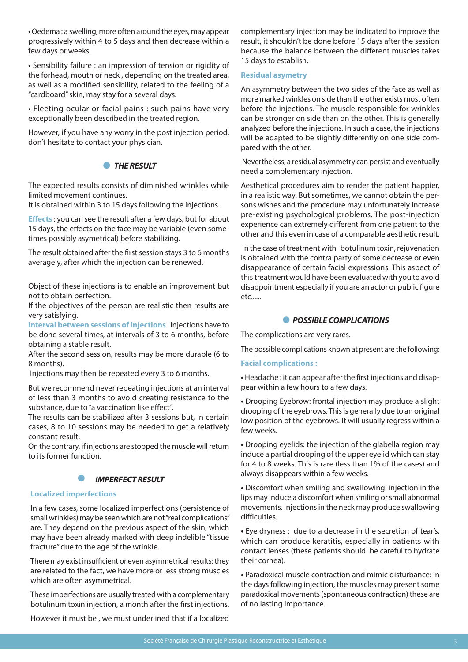• Oedema : a swelling, more often around the eyes, may appear progressively within 4 to 5 days and then decrease within a few days or weeks.

• Sensibility failure : an impression of tension or rigidity of the forhead, mouth or neck , depending on the treated area, as well as a modified sensibility, related to the feeling of a "cardboard" skin, may stay for a several days.

• Fleeting ocular or facial pains : such pains have very exceptionally been described in the treated region.

However, if you have any worry in the post injection period, don't hesitate to contact your physician.

# *THE RESULT*

The expected results consists of diminished wrinkles while limited movement continues.

It is obtained within 3 to 15 days following the injections.

**Effects** : you can see the result after a few days, but for about 15 days, the effects on the face may be variable (even sometimes possibly asymetrical) before stabilizing.

The result obtained after the first session stays 3 to 6 months averagely, after which the injection can be renewed.

Object of these injections is to enable an improvement but not to obtain perfection.

If the objectives of the person are realistic then results are very satisfying.

**Interval between sessions of Injections** : Injections have to be done several times, at intervals of 3 to 6 months, before obtaining a stable result.

After the second session, results may be more durable (6 to 8 months).

Injections may then be repeated every 3 to 6 months.

But we recommend never repeating injections at an interval of less than 3 months to avoid creating resistance to the substance, due to "a vaccination like effect".

The results can be stabilized after 3 sessions but, in certain cases, 8 to 10 sessions may be needed to get a relatively constant result.

On the contrary, if injections are stopped the muscle will return to its former function.



# **Localized imperfections**

In a few cases, some localized imperfections (persistence of small wrinkles) may be seen which are not "real complications" are. They depend on the previous aspect of the skin, which may have been already marked with deep indelible "tissue fracture" due to the age of the wrinkle.

There may exist insufficient or even asymmetrical results: they are related to the fact, we have more or less strong muscles which are often asymmetrical.

These imperfections are usually treated with a complementary botulinum toxin injection, a month after the first injections.

However it must be , we must underlined that if a localized

complementary injection may be indicated to improve the result, it shouldn't be done before 15 days after the session because the balance between the different muscles takes 15 days to establish.

## **Residual asymetry**

An asymmetry between the two sides of the face as well as more marked winkles on side than the other exists most often before the injections. The muscle responsible for wrinkles can be stronger on side than on the other. This is generally analyzed before the injections. In such a case, the injections will be adapted to be slightly differently on one side compared with the other.

 Nevertheless, a residual asymmetry can persist and eventually need a complementary injection.

Aesthetical procedures aim to render the patient happier, in a realistic way. But sometimes, we cannot obtain the persons wishes and the procedure may unfortunately increase pre-existing psychological problems. The post-injection experience can extremely different from one patient to the other and this even in case of a comparable aesthetic result.

 In the case of treatment with botulinum toxin, rejuvenation is obtained with the contra party of some decrease or even disappearance of certain facial expressions. This aspect of this treatment would have been evaluated with you to avoid disappointment especially if you are an actor or public figure etc......

# *POSSIBLE COMPLICATIONS*

The complications are very rares.

The possible complications known at present are the following:

# **Facial complications :**

**•** Headache : it can appear after the first injections and disappear within a few hours to a few days.

**•** Drooping Eyebrow: frontal injection may produce a slight drooping of the eyebrows. This is generally due to an original low position of the eyebrows. It will usually regress within a few weeks.

**•** Drooping eyelids: the injection of the glabella region may induce a partial drooping of the upper eyelid which can stay for 4 to 8 weeks. This is rare (less than 1% of the cases) and always disappears within a few weeks.

**•** Discomfort when smiling and swallowing: injection in the lips may induce a discomfort when smiling or small abnormal movements. Injections in the neck may produce swallowing difficulties.

**•** Eye dryness : due to a decrease in the secretion of tear's, which can produce keratitis, especially in patients with contact lenses (these patients should be careful to hydrate their cornea).

**•** Paradoxical muscle contraction and mimic disturbance: in the days following injection, the muscles may present some paradoxical movements (spontaneous contraction) these are of no lasting importance.